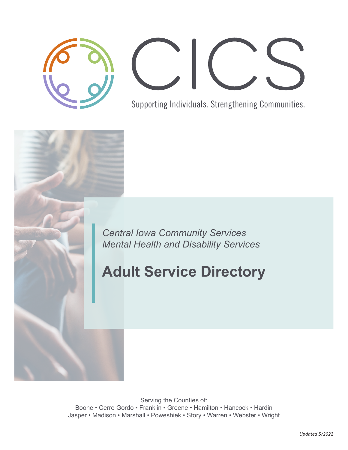

Supporting Individuals. Strengthening Communities.

*Central Iowa Community Services Mental Health and Disability Services*

# **Adult Service Directory**

Serving the Counties of: Boone • Cerro Gordo • Franklin • Greene • Hamilton • Hancock • Hardin Jasper • Madison • Marshall • Poweshiek • Story • Warren • Webster • Wright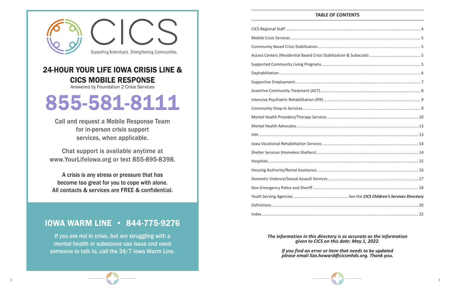

#### *The information in this directory is as accurate as the information given to CICS on this date: May 1, 2022.*

*If you find an error or item that needs to be updated please email liza.howard@cicsmhds.org. Thank you.*

## **TABLE OF CONTENTS**

If you are not in crisis, but are struggling with a mental health or substance use issue and need someone to talk to, call the 24/7 Iowa Warm Line.

| Community Based Crisis Stabilization          |
|-----------------------------------------------|
| Access Centers (Residential Based Crisis Stal |
| Supported Community Living Programs           |
|                                               |
| Supportive Employment                         |
| Assertive Community Treatment (ACT)           |
| Intensive Psychiatric Rehabilitation (IPR)    |
| Community Drop-In Services                    |
| Mental Health Providers/Therapy Services      |
| Mental Health Advocates                       |
|                                               |
| Iowa Vocational Rehabilitation Services       |
| Shelter Services (Homeless Shelters)          |
|                                               |
| Housing Authority/Rental Assistance           |
| Domestic Violence/Sexual Assault Services.    |
| Non-Emergency Police and Sheriff              |
| Youth Serving Agencies                        |
|                                               |
|                                               |



# 24-HOUR YOUR LIFE IOWA CRISIS LINE & CICS MOBILE RESPONSE

Answered by Foundation 2 Crisis Services

# 855-581-8111

Call and request a Mobile Response Team for in-person crisis support services, when applicable.

Chat support is available anytime at www.YourLifeIowa.org or text 855-895-8398.

A crisis is any stress or pressure that has become too great for you to cope with alone. All contacts & services are FREE & confidential.

## IOWA WARM LINE • 844-775-9276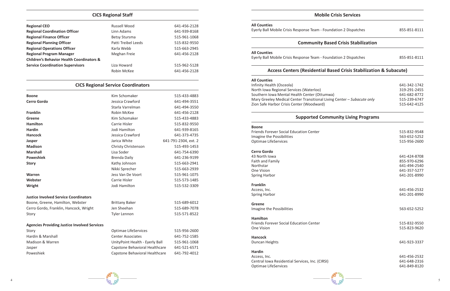

#### **CICS Regional Staff**

| <b>Regional CEO</b>                                  | Russell Wood         | 641-456-2128 |
|------------------------------------------------------|----------------------|--------------|
| <b>Regional Coordination Officer</b>                 | Linn Adams           | 641-939-8168 |
| <b>Regional Finance Officer</b>                      | <b>Betsy Stursma</b> | 515-961-1068 |
| <b>Regional Planning Officer</b>                     | Patti Treibel Leeds  | 515-832-9550 |
| <b>Regional Operations Officer</b>                   | Karla Webb           | 515-663-2945 |
| <b>Regional Program Manager</b>                      | Meghan Freie         | 641-456-2128 |
| <b>Children's Behavior Health Coordinators &amp;</b> |                      |              |
| <b>Service Coordination Supervisors</b>              | Liza Howard          | 515-962-5128 |
|                                                      | Robin McKee          | 641-456-2128 |

## **CICS Regional Service Coordinators**

| <b>Boone</b>                                        | Kim Schomaker                   | 515-433-4883         |
|-----------------------------------------------------|---------------------------------|----------------------|
| <b>Cerro Gordo</b>                                  | Jessica Crawford                | 641-494-3551         |
|                                                     | Starla Varrelman                | 641-494-3550         |
| <b>Franklin</b>                                     | Robin McKee                     | 641-456-2128         |
| Greene                                              | Kim Schomaker                   | 515-433-4883         |
| <b>Hamilton</b>                                     | Carrie Hisler                   | 515-832-9550         |
| <b>Hardin</b>                                       | Jodi Hamilton                   | 641-939-8165         |
| <b>Hancock</b>                                      | Jessica Crawford                | 641-373-4735         |
| Jasper                                              | Jarica White                    | 641-791-2304, ext. 2 |
| <b>Madison</b>                                      | Christy Christenson             | 515-493-1453         |
| <b>Marshall</b>                                     | Lisa Soder                      | 641-754-6390         |
| <b>Poweshiek</b>                                    | <b>Brenda Daily</b>             | 641-236-9199         |
| <b>Story</b>                                        | Kathy Johnson                   | 515-663-2941         |
|                                                     | Nikki Sprecher                  | 515-663-2939         |
| Warren                                              | Jess Van De Voort               | 515-961-1075         |
| Webster                                             | Carrie Hisler                   | 515-573-1485         |
| Wright                                              | Jodi Hamilton                   | 515-532-3309         |
| <b>Justice Involved Service Coordinators</b>        |                                 |                      |
| Boone, Greene, Hamilton, Webster                    | <b>Brittany Baker</b>           | 515-689-6012         |
| Cerro Gordo, Franklin, Hancock, Wright              | Jen Sheehan                     | 515-689-7078         |
| Story                                               | <b>Tyler Lennon</b>             | 515-571-8522         |
| <b>Agencies Providing Justice Involved Services</b> |                                 |                      |
| Story                                               | <b>Optimae LifeServices</b>     | 515-956-2600         |
| Hardin & Marshall                                   | <b>Center Associates</b>        | 641-752-1585         |
| Madison & Warren                                    | UnityPoint Health - Eyerly Ball | 515-961-1068         |
| Jasper                                              | Capstone Behavioral Healthcare  | 641-521-6571         |
| Poweshiek                                           | Capstone Behavioral Healthcare  | 641-792-4012         |

43 North Iowa 641-424-8708 Access, Inc. 641-456-2532 Spring Harbor 641-201-8990

**Hancock** Duncan Heights 641-923-3337

#### **Mobile Crisis Services**

#### **All Counties**

Eyerly Ball Mobile Crisis Response Team - Foundation 2 Dispatches 855-851-8111

#### **Community Based Crisis Stabilization**

#### **All Counties**

Eyerly Ball Mobile Crisis Response Team - Foundation 2 Dispatches 855-851-8111

#### **Access Centers (Residential Based Crisis Stabilization & Subacute)**

#### **All Counties**

Infinity Health (Osceola) 641-342-1742 North Iowa Regional Services (Waterloo) 319-291-2455 Southern Iowa Mental Health Center (Ottumwa) 641-682-8772 Mary Greeley Medical Center Transitional Living Center – *Subacute only* 515-239-6747 Zion Safe Harbor Crisis Center (Woodward) 515-642-4125

#### **Supported Community Living Programs**

#### **Boone**

Friends Forever Social Education Center 515-832-9548 Imagine the Possibilities 563-652-5252 Optimae LifeServices 515-956-2600

#### **Cerro Gordo**

Faith and Family 855-970-6296 Northstar 641-494-2540 One Vision 641-357-5277 Spring Harbor 641-201-8990

#### **Franklin**

**Greene** Imagine the Possibilities 563-652-5252

**Hamilton** Friends Forever Social Education Center 515-832-9550 One Vision 515-823-9620

#### **Hardin**

Access, Inc. 641-456-2532 Central Iowa Residential Services, Inc. (CIRSI) 641-648-2316 Optimae LifeServices 641-849-8120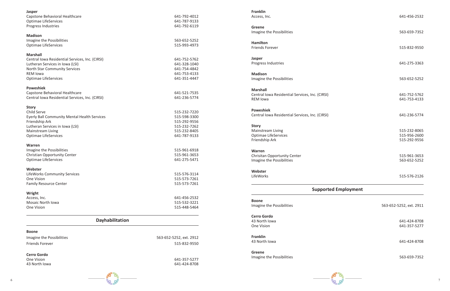515-961-3653 Imagine the Possibilities 563-652-5252

515-576-2126

641-424-8708 One Vision 641-357-5277

641-424-8708

563-659-7352



| 641-792-6119                 | <b>Greene</b>                                                                                                                                                                                                                                                                                                           |
|------------------------------|-------------------------------------------------------------------------------------------------------------------------------------------------------------------------------------------------------------------------------------------------------------------------------------------------------------------------|
|                              | Imagine the Possibilities                                                                                                                                                                                                                                                                                               |
|                              |                                                                                                                                                                                                                                                                                                                         |
| 515-993-4973                 | <b>Hamilton</b><br><b>Friends Forever</b>                                                                                                                                                                                                                                                                               |
|                              |                                                                                                                                                                                                                                                                                                                         |
| 641-752-5762                 | <b>Jasper</b>                                                                                                                                                                                                                                                                                                           |
| 641-328-1040                 | Progress Industries                                                                                                                                                                                                                                                                                                     |
| 641-754-4842                 |                                                                                                                                                                                                                                                                                                                         |
| 641-753-4133                 | <b>Madison</b>                                                                                                                                                                                                                                                                                                          |
|                              | Imagine the Possibilities                                                                                                                                                                                                                                                                                               |
|                              | <b>Marshall</b>                                                                                                                                                                                                                                                                                                         |
|                              | <b>Central Iowa Residential Services</b>                                                                                                                                                                                                                                                                                |
|                              | <b>REM Iowa</b>                                                                                                                                                                                                                                                                                                         |
|                              | <b>Poweshiek</b>                                                                                                                                                                                                                                                                                                        |
|                              | <b>Central Iowa Residential Services</b>                                                                                                                                                                                                                                                                                |
|                              |                                                                                                                                                                                                                                                                                                                         |
|                              | <b>Story</b>                                                                                                                                                                                                                                                                                                            |
|                              | Mainstream Living                                                                                                                                                                                                                                                                                                       |
|                              | Optimae LifeServices                                                                                                                                                                                                                                                                                                    |
|                              | Friendship Ark                                                                                                                                                                                                                                                                                                          |
|                              |                                                                                                                                                                                                                                                                                                                         |
|                              | Warren                                                                                                                                                                                                                                                                                                                  |
| 641-275-5471                 | Chrisitan Opportunity Center<br>Imagine the Possibilities                                                                                                                                                                                                                                                               |
|                              |                                                                                                                                                                                                                                                                                                                         |
|                              | Webster                                                                                                                                                                                                                                                                                                                 |
|                              | LifeWorks                                                                                                                                                                                                                                                                                                               |
|                              |                                                                                                                                                                                                                                                                                                                         |
|                              |                                                                                                                                                                                                                                                                                                                         |
|                              |                                                                                                                                                                                                                                                                                                                         |
|                              | <b>Boone</b>                                                                                                                                                                                                                                                                                                            |
| 515-448-5464                 | Imagine the Possibilities                                                                                                                                                                                                                                                                                               |
|                              | <b>Cerro Gordo</b>                                                                                                                                                                                                                                                                                                      |
|                              | 43 North Iowa<br>One Vision                                                                                                                                                                                                                                                                                             |
|                              |                                                                                                                                                                                                                                                                                                                         |
|                              | <b>Franklin</b>                                                                                                                                                                                                                                                                                                         |
| 515-832-9550                 | 43 North Iowa                                                                                                                                                                                                                                                                                                           |
|                              |                                                                                                                                                                                                                                                                                                                         |
|                              | <b>Greene</b>                                                                                                                                                                                                                                                                                                           |
|                              |                                                                                                                                                                                                                                                                                                                         |
| 641-357-5277<br>641-424-8708 | Imagine the Possibilities                                                                                                                                                                                                                                                                                               |
|                              | 641-787-9133<br>563-652-5252<br>641-351-4447<br>641-521-7535<br>641-236-5774<br>515-232-7220<br>515-598-3300<br>515-292-9556<br>515-232-7262<br>515-232-8405<br>641-787-9133<br>515-961-6918<br>515-961-3653<br>515-576-3114<br>515-573-7261<br>515-573-7261<br>641-456-2532<br>515-532-3221<br>563-652-5252, ext. 2912 |

641-456-2532

563-659-7352

515-832-9550

Progress Industries 641-275-3363

Imagine the Possibilities 563-652-5252

es, Inc. (CIRSI) 641-752-5762 641-753-4133

es, Inc. (CIRSI) 641-236-5774

515-232-8065 515-956-2600 515-292-9556

## **Supported Employment**

563-652-5252, ext. 2911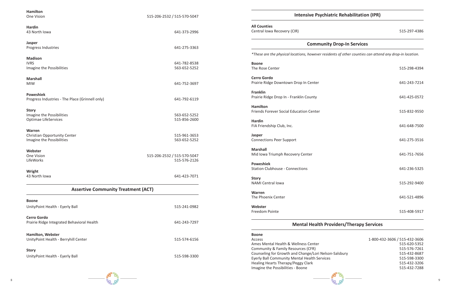

Access 1-800-432-3606 / 515-432-3606 515-620-5352 Community & Family Resources (CFR) 515-576-7261 515-432-8687 Eyerly Ball Community Mental Health Services 515-598-3300 515-432-3206<br>515-432-7288

#### **Community Drop-In Services**

| <b>Hamilton</b>                                                          |                                             |                                                                                                                                                                    |
|--------------------------------------------------------------------------|---------------------------------------------|--------------------------------------------------------------------------------------------------------------------------------------------------------------------|
| One Vision                                                               | 515-206-2532 / 515-570-5047                 | <b>Intensive Psych</b>                                                                                                                                             |
| <b>Hardin</b><br>43 North Iowa                                           | 641-373-2996                                | <b>All Counties</b><br>Central Iowa Recovery (CIR)                                                                                                                 |
| <b>Jasper</b><br>Progress Industries                                     | 641-275-3363                                | Commun                                                                                                                                                             |
| <b>Madison</b>                                                           |                                             | *These are the physical locations, however rest                                                                                                                    |
| <b>IVRS</b><br>Imagine the Possibilities                                 | 641-782-8538<br>563-652-5252                | <b>Boone</b><br>The Rose Center                                                                                                                                    |
| <b>Marshall</b><br><b>MIW</b>                                            | 641-752-3697                                | <b>Cerro Gordo</b><br>Prairie Ridge Downtown Drop In Center                                                                                                        |
| <b>Poweshiek</b><br>Progress Industries - The Place (Grinnell only)      | 641-792-6119                                | <b>Franklin</b><br>Prairie Ridge Drop In - Franklin County                                                                                                         |
| <b>Story</b><br>Imagine the Possibilities<br><b>Optimae LifeServices</b> | 563-652-5252<br>515-856-2600                | <b>Hamilton</b><br>Friends Forever Social Education Center<br><b>Hardin</b><br>FIA Friendship Club, Inc.                                                           |
| Warren<br>Christian Opportunity Center<br>Imagine the Possibilities      | 515-961-3653<br>563-652-5252                | Jasper<br><b>Connections Peer Support</b>                                                                                                                          |
| Webster<br>One Vision<br><b>LifeWorks</b>                                | 515-206-2532 / 515-570-5047<br>515-576-2126 | <b>Marshall</b><br>Mid Iowa Triumph Recovery Center<br><b>Poweshiek</b><br><b>Station Clubhouse - Connections</b>                                                  |
| Wright<br>43 North Iowa                                                  | 641-423-7071                                | <b>Story</b>                                                                                                                                                       |
| <b>Assertive Community Treatment (ACT)</b>                               |                                             | <b>NAMI Central lowa</b><br><b>Warren</b>                                                                                                                          |
| <b>Boone</b>                                                             |                                             | The Phoenix Center                                                                                                                                                 |
| UnityPoint Health - Eyerly Ball                                          | 515-241-0982                                | Webster<br>Freedom Pointe                                                                                                                                          |
| <b>Cerro Gordo</b><br>Prairie Ridge Integrated Behavioral Health         | 641-243-7297                                | <b>Mental Health P</b>                                                                                                                                             |
| Hamilton, Webster<br>UnityPoint Health - Berryhill Center                | 515-574-6156                                | <b>Boone</b><br>Access<br>Ames Mental Health & Wellness Center<br>Community & Family Resources (CFR)                                                               |
| <b>Story</b><br>UnityPoint Health - Eyerly Ball                          | 515-598-3300                                | Counseling for Growth and Change/Lori Nel<br>Eyerly Ball Community Mental Health Servic<br>Healing Hearts Therapy/Peggy Clark<br>Imagine the Possibilities - Boone |

## **Interala Rehabilitation (IPR)**

515-297-4386

*\*These are the physical locations, however residents of other counties can attend any drop-in location.*

- 515-298-4394
- Prairie Ridge Downtown Drop In Center 641-243-7214
- 641-425-0572
- 515-832-9550
- 641-648-7500
- 641-275-3516
- 641-751-7656
- 641-236-5325
- 515-292-9400
- 641-521-4896
- 515-408-5917

## **Providers/Therapy Services**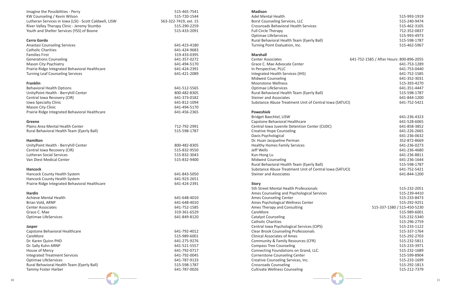

| Imagine the Possibilities - Perry<br>KW Counseling / Kevin Wilson<br>Lutheran Services in Iowa (LSI) - Scott Caldwell, LISW<br>River Valley Therapy Clinic - Jeremy Stumbo<br>Youth and Shelter Services (YSS) of Boone                                                 | 515-465-7541<br>515-720-1544<br>563-322-7419, ext. 15<br>515-290-2259<br>515-433-2091                                                        |
|-------------------------------------------------------------------------------------------------------------------------------------------------------------------------------------------------------------------------------------------------------------------------|----------------------------------------------------------------------------------------------------------------------------------------------|
| <b>Cerro Gordo</b><br><b>Anastasi Counseling Services</b><br><b>Catholic Charities</b><br><b>Families First</b><br><b>Generations Counseling</b><br>Mason City Psychiatry<br>Prairie Ridge Integrated Behavioral Healthcare<br><b>Turning Leaf Counseling Services</b>  | 641-423-4180<br>641-424-9683<br>319-433-0395<br>641-357-0272<br>641-494-5170<br>641-424-2391<br>641-421-2089                                 |
| <b>Franklin</b><br><b>Behavioral Health Options</b><br>UnityPoint Health - Berryhill Center<br>Central Iowa Recovery (CIR)<br>Iowa Specialty Clinic<br>Mason City Clinic<br>Prairie Ridge Integrated Behavioral Healthcare                                              | 641-512-5565<br>800-482-8305<br>641-373-0182<br>641-812-1094<br>641-494-5170<br>641-456-2365                                                 |
| Greene<br>Plains Area Mental Health Center<br>Rural Behavioral Health Team (Eyerly Ball)                                                                                                                                                                                | 712-792-2991<br>515-598-1787                                                                                                                 |
| <b>Hamilton</b><br>UnityPoint Health - Berryhill Center<br>Central Iowa Recovery (CIR)<br><b>Lutheran Social Services</b><br>Van Diest Medical Center<br><b>Hancock</b><br>Hancock County Health System<br>Hancock County Health System                                 | 800-482-8305<br>515-832-9550<br>515-832-3043<br>515-832-9400<br>641-843-5050<br>641-923-2651                                                 |
| Prairie Ridge Integrated Behavioral Healthcare<br><b>Hardin</b><br><b>Achieve Mental Health</b><br>Brian Vold, ARNP<br><b>Center Associates</b><br>Grace C. Mae<br><b>Optimae LifeServices</b>                                                                          | 641-424-2391<br>641-648-4010<br>641-648-4010<br>641-752-1585<br>319-361-6529<br>641-849-8120                                                 |
| <b>Jasper</b><br>Capstone Behavioral Healthcare<br>CareMore<br>Dr. Karen Quinn PHD<br>Dr. Sally Kuhn ARNP<br>House of Mercy<br><b>Integrated Treatment Services</b><br><b>Optimae LifeServices</b><br>Rural Behavioral Health Team (Eyerly Ball)<br>Tammy Foster Harber | 641-792-4012<br>515-989-6001<br>641-275-9276<br>641-521-5557<br>641-792-0717<br>641-792-0045<br>641-787-9133<br>515-598-1787<br>641-787-0026 |

#### **Madison**

#### **Marshall**

#### **Poweshiek**

#### **Story**

| <u>ividuisuli</u><br>Adel Mental Health<br>Borst Counseling Services, LLC<br><b>Crossroads Behavioral Health Services</b><br><b>Full Circle Therapy</b><br>Optimae LifeServices<br>Rural Behavioral Health Team (Eyerly Ball)<br>Turning Point Evaluation, Inc. | 515-993-1919<br>515-240-9474<br>515-462-3105<br>712-352-0837<br>515-993-4973<br>515-598-1787<br>515-462-5967 |
|-----------------------------------------------------------------------------------------------------------------------------------------------------------------------------------------------------------------------------------------------------------------|--------------------------------------------------------------------------------------------------------------|
| <b>Marshall</b><br><b>Center Associates</b><br>Grace C. Mae Advocate Center                                                                                                                                                                                     | 641-752-1585 / After Hours: 800-896-2055<br>641-753-1289                                                     |
| In Perspective, PLLC                                                                                                                                                                                                                                            | 641-753-0440                                                                                                 |
| Integrated Health Services (IHS)                                                                                                                                                                                                                                | 641-752-1585                                                                                                 |
| <b>Midwest Counseling</b>                                                                                                                                                                                                                                       | 641-352-3031                                                                                                 |
| <b>Moonstone Wellness</b>                                                                                                                                                                                                                                       | 515-393-4270                                                                                                 |
| <b>Optimae LifeServices</b>                                                                                                                                                                                                                                     | 641-351-4447                                                                                                 |
| Rural Behavioral Health Team (Eyerly Ball)                                                                                                                                                                                                                      | 515-598-1787                                                                                                 |
| <b>Steiner and Associates</b>                                                                                                                                                                                                                                   | 641-844-1200                                                                                                 |
| Substance Abuse Treatment Unit of Central Iowa (SATUCI)                                                                                                                                                                                                         | 641-752-5421                                                                                                 |
| <b>Poweshiek</b>                                                                                                                                                                                                                                                |                                                                                                              |
| Bridget Baechtel, LISW                                                                                                                                                                                                                                          | 641-236-4323                                                                                                 |
| Capstone Behavioral Healthcare                                                                                                                                                                                                                                  | 641-528-6065                                                                                                 |
| Central Iowa Juvenile Detention Center (CIJDC)                                                                                                                                                                                                                  | 641-858-3852                                                                                                 |
| <b>Creative Hope Counseling</b>                                                                                                                                                                                                                                 | 641-226-2665                                                                                                 |
| Davis Psychological                                                                                                                                                                                                                                             | 641-236-0632                                                                                                 |
| Dr. Huan Jacqueline Perman                                                                                                                                                                                                                                      | 352-872-8669                                                                                                 |
| <b>Healthy Homes Family Services</b>                                                                                                                                                                                                                            | 641-236-0273                                                                                                 |
| Jeff Wells                                                                                                                                                                                                                                                      | 641-236-4680                                                                                                 |
| Kun-Hong Lu                                                                                                                                                                                                                                                     | 641-236-8811                                                                                                 |
| <b>Midwest Counseling</b>                                                                                                                                                                                                                                       | 641-236-1644                                                                                                 |
| Rural Behavioral Health Team (Eyerly Ball)                                                                                                                                                                                                                      | 515-598-1787<br>641-752-5421                                                                                 |
| Substance Abuse Treatment Unit of Central Iowa (SATUCI)<br><b>Steiner and Associates</b>                                                                                                                                                                        | 641-844-1200                                                                                                 |
|                                                                                                                                                                                                                                                                 |                                                                                                              |
| <b>Story</b>                                                                                                                                                                                                                                                    |                                                                                                              |
| 5th Street Mental Health Professionals                                                                                                                                                                                                                          | 515-232-2051                                                                                                 |
| Ames Counseling and Psychological Services                                                                                                                                                                                                                      | 515-239-4410                                                                                                 |
| Ames Counseling Center                                                                                                                                                                                                                                          | 515-233-8473                                                                                                 |
| Ames Psychological Wellness Center                                                                                                                                                                                                                              | 515-292-9251                                                                                                 |
| Ames Therapy and Consulting<br>CareMore                                                                                                                                                                                                                         | 515-337-1380 / 515-450-5230<br>515-989-6001                                                                  |
| <b>Catalyst Counseling</b>                                                                                                                                                                                                                                      | 515-232-5340                                                                                                 |
| <b>Catholic Charities</b>                                                                                                                                                                                                                                       | 515-296-2759                                                                                                 |
| Central Iowa Psychological Services (CIPS)                                                                                                                                                                                                                      | 515-233-1122                                                                                                 |
| <b>Clear Brook Counseling Professionals</b>                                                                                                                                                                                                                     | 515-337-1764                                                                                                 |
| <b>Clinical Associates of Ames</b>                                                                                                                                                                                                                              | 515-292-2703                                                                                                 |
| Community & Family Resources (CFR)                                                                                                                                                                                                                              | 515-232-5811                                                                                                 |
| <b>Compass Tree Counseling</b>                                                                                                                                                                                                                                  | 515-233-3971                                                                                                 |
| Connecting Foundations on Grand, LLC.                                                                                                                                                                                                                           | 515-232-1689                                                                                                 |
| <b>Cornerstone Counseling Center</b>                                                                                                                                                                                                                            | 515-599-8904                                                                                                 |
| Creative Counseling Services, Inc.                                                                                                                                                                                                                              | 515-233-1699                                                                                                 |
| <b>Crossroads Counseling</b>                                                                                                                                                                                                                                    | 515-292-1813                                                                                                 |
| <b>Cultivate Wellness Counseling</b>                                                                                                                                                                                                                            | 515-212-7379                                                                                                 |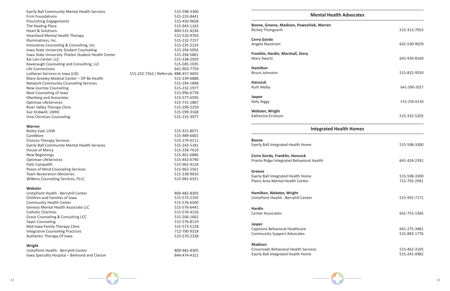

| <b>Eyerly Ball Community Mental Health Services</b> | 515-598-3300                           |
|-----------------------------------------------------|----------------------------------------|
| <b>Firm Foundations</b>                             | 515-233-8441                           |
| <b>Flourishing Engagements</b>                      | 515-450-9658                           |
| The Healing Place                                   | 515-943-1163                           |
| <b>Heart &amp; Solutions</b>                        | 800-531-4236                           |
| <b>Heartland Mental Health Therapy</b>              | 515-520-9703                           |
| Illuminations, Inc.                                 | 515-232-7157                           |
| Innovative Counseling & Consulting, Inc.            | 515-235-5224                           |
| Iowa State University Student Counseling            | 515-294-5056                           |
| Iowa State University Thielen Student Health Center | 515-294-5801                           |
| Kai Lani Center, LLC                                | 515-338-2929                           |
| Kavanaugh Counseling and Consulting, LLC            | 515-585-1035                           |
| Life Connections                                    | 641-903-7759                           |
| Lutheran Services in Iowa (LSI)                     | 515-232-7262 / Referrals: 888-457-4692 |
| Mary Greeley Medical Center - OP Bx Health          | 515-239-6888                           |
| <b>Network Community Counseling Services</b>        | 515-294-1898                           |
| New Journey Counseling                              | 515-232-1977                           |
| Next Counseling of Iowa                             | 515-996-6778                           |
| Okerberg and Associates                             | 515-577-6595                           |
| <b>Optimae LifeServices</b>                         | 515-715-1887                           |
| River Valley Therapy Clinic                         | 515-290-2259                           |
| Sue Stidwell, LMHC                                  | 515-599-3168                           |
| Vine Christian Counseling                           | 515-233-3977                           |
| Warren                                              |                                        |
| Bailey Saal, LISW                                   | 515-321-8071                           |
| CareMore                                            | 515-989-6001                           |
| <b>Choices Therapy Services</b>                     | 515-279-0111                           |
| Eyerly Ball Community Mental Health Services        | 515-243-5181                           |
| House of Mercy                                      | 515-358-7610                           |
| <b>New Beginnings</b>                               | 515-401-6886                           |
| <b>Optimae LifeServices</b>                         | 515-442-6790                           |
| Patti Campidilli                                    | 515-962-9126                           |
| Peace of Mind Counseling Services                   | 515-962-5561                           |
| <b>Team Restoration Ministries</b>                  | 515-238-9010                           |
| Wilkens Counseling Services, PLLC                   | 515-981-6321                           |
| Webster                                             |                                        |
| UnityPoint Health - Berryhill Center                | 800-482-8305                           |
| Children and Families of Iowa                       | 515-573-2193                           |
| <b>Community Health Center</b>                      | 515-576-6500                           |
| Genesis Mental Health Associate LLC                 | 515-576-6441                           |
| <b>Catholic Charities</b>                           | 515-576-4156                           |
| Grace Counseling & Consulting LCC                   | 515-206-1662                           |
| <b>Sayer Counseling</b>                             | 515-576-8119                           |
| Mid-Iowa Family Therapy Clinic                      | 515-573-5128                           |
| <b>Integrative Counseling Practices</b>             | 712-790-9318                           |
| Authentic Therapy Of Iowa                           | 515-570-2338                           |
| Wright                                              |                                        |
| UnityPoint Health - Berryhill Center                | 800-482-8305                           |
| Iowa Specialty Hospital - Belmond and Clarion       | 844-474-4321                           |
|                                                     |                                        |

**Boone, Greene, Madison, Poweshiek, Warren** Richey Thongvanh 515-313-7053

**Franklin, Hardin, Marshall, Story** Mary Swartz 641-939-8169

**Hamilton** Bruce Johnston 515-832-9550

**Boone** Eyerly Ball Integrated Health Home 515-598-3300

**Cerro Gordo, Franklin, Hancock** Prairie Ridge Integrated Behavioral Health 641-424-2391

**Hamilton, Webster, Wright** UnityPoint Health - Berryhill Center 515-955-7171

**Jasper** Capstone Behavioral Healthcare 641-275-3481 Community Support Advocates 615-883-1776

#### **Mental Health Advocates**

**Cerro Gordo** Angela Nasstrom 641-530-9029

**Hancock**

Ruth Melby 641-590-2027

Kelly Yeggy 515-250-6150

**Jasper**

**Webster, Wright** Katherine Erickson 515-332-5205

#### **Integrated Health Homes**

#### **Greene**

Eyerly Ball Integrated Health Home 515-598-3300 Plains Area Mental Health Center 712-792-2991

**Hardin** Center Associates 641-752-1585

#### **Madison**

Crossroads Behavioral Health Services 615-462-3105 Eyerly Ball Integrated Health Home 515-241-0982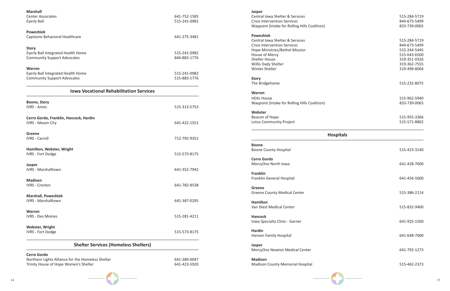

**Jasper** Central Iowa Shelter & Services Crisis Intervention Services Waypoint (Intake for Rolling Hills Coalition) **Poweshiek** Central Iowa Shelter & Services Crisis Intervention Services Hope Ministries/Bethel Mission House of Mercy Shelter House Willis Dady Shelter

| <b>Marshall</b>                                                                            |                              |
|--------------------------------------------------------------------------------------------|------------------------------|
| <b>Center Associates</b><br><b>Eyerly Ball</b>                                             | 641-752-1585<br>515-241-0982 |
| <b>Poweshiek</b>                                                                           |                              |
| Capstone Behavioral Healthcare                                                             | 641-275-3481                 |
| <b>Story</b>                                                                               |                              |
| Eyerly Ball Integrated Health Home<br><b>Community Support Advocates</b>                   | 515-241-0982<br>844-883-1776 |
| Warren                                                                                     |                              |
| Eyerly Ball Integrated Health Home<br><b>Community Support Advocates</b>                   | 515-241-0982<br>515-883-1776 |
| <b>Iowa Vocational Rehabilitation Services</b>                                             |                              |
| <b>Boone, Story</b><br><b>IVRS - Ames</b>                                                  | 515-313-5753                 |
| Cerro Gordo, Franklin, Hancock, Hardin<br><b>IVRS - Mason City</b>                         | 641-422-1551                 |
| Greene<br><b>IVRS - Carroll</b>                                                            | 712-792-9351                 |
| Hamilton, Webster, Wright<br><b>IVRS - Fort Dodge</b>                                      | 515-573-8175                 |
| Jasper<br><b>IVRS - Marshalltown</b>                                                       | 641-352-7942                 |
| <b>Madison</b><br><b>IVRS - Creston</b>                                                    | 641-782-8538                 |
| <b>Marshall, Poweshiek</b><br><b>IVRS - Marshalltown</b>                                   | 641-387-0295                 |
| <b>Warren</b><br><b>IVRS - Des Moines</b>                                                  | 515-281-4211                 |
| <b>Webster, Wright</b><br><b>IVRS - Fort Dodge</b>                                         | 515-573-8175                 |
| <b>Shelter Services (Homeless Shelters)</b>                                                |                              |
| <b>Cerro Gordo</b>                                                                         | 641-380-0047                 |
| Northern Lights Alliance for the Homeless Shelter<br>Trinity House of Hope Women's Shelter | 641-423-5920                 |

**Story** The Bridgehome

Winter Shelter

**Warren** HEAL House Waypoint (Intake for Rolling Hills Coalition)

**Webster** Beacon of Hope Lotus Community Project

**Hospita** 

**Boone** Boone County Hospital

**Cerro Gordo** MercyOne North Iowa

**Franklin** Franklin General Hospital

**Greene** Greene County Medical Center

**Hamilton** Van Diest Medical Center

**Hancock** Iowa Specialty Clinic - Garner

**Hardin** Hansen Family Hospital

**Jasper** MercyOne Newton Medical Center

**Madison** Madison County Memorial Hospital

|     | 515-284-5719<br>844-673-5499<br>833-739-0065                                                                 |
|-----|--------------------------------------------------------------------------------------------------------------|
|     | 515-284-5719<br>844-673-5499<br>515-244-5445<br>515-643-6500<br>319-351-0326<br>319-362-7555<br>319-499-8004 |
|     | 515-232-8075                                                                                                 |
|     | 515-962-5940<br>833-739-0065                                                                                 |
|     | 515-955-3366<br>515-571-8802                                                                                 |
| als |                                                                                                              |
|     | 515-423-3140                                                                                                 |
|     |                                                                                                              |
|     | 641-428-7000                                                                                                 |
|     | 641-456-5000                                                                                                 |
|     | 515-386-2114                                                                                                 |
|     | 515-832-9400                                                                                                 |
|     | 641-925-1500                                                                                                 |
|     | 641-648-7000                                                                                                 |
|     | 641-792-1273                                                                                                 |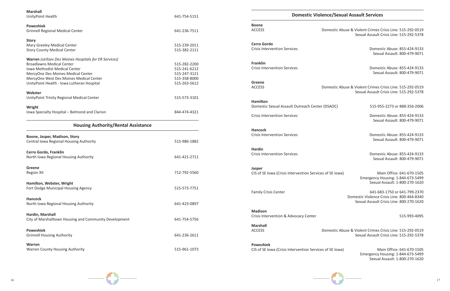stic Abuse & Violent Crimes Crisis Line: 515-292-0519 Sexual Assault Crisis Line: 515-292-5378

| <b>Marshall</b><br>UnityPoint Health                   | 641-754-5151 |                                                       | Domestic Violence/ |
|--------------------------------------------------------|--------------|-------------------------------------------------------|--------------------|
| <b>Poweshiek</b>                                       |              | <b>Boone</b>                                          |                    |
| <b>Grinnell Regional Medical Center</b>                | 641-236-7511 | <b>ACCESS</b>                                         | Domes              |
| <b>Story</b>                                           |              |                                                       |                    |
| Mary Greeley Medical Center                            | 515-239-2011 | <b>Cerro Gordo</b>                                    |                    |
| <b>Story County Medical Center</b>                     | 515-382-2111 | <b>Crisis Intervention Services</b>                   |                    |
| Warren (utilizes Des Moines Hospitals for ER Services) |              |                                                       |                    |
| <b>Broadlawns Medical Center</b>                       | 515-282-2200 | <b>Franklin</b>                                       |                    |
| Iowa Methodist Medical Center                          | 515-241-6212 | <b>Crisis Intervention Services</b>                   |                    |
| MercyOne Des Moines Medical Center                     | 515-247-3121 |                                                       |                    |
| MercyOne West Des Moines Medical Center                | 515-358-8000 |                                                       |                    |
| UnityPoint Health - Iowa Lutheran Hospital             | 515-263-5612 | Greene                                                |                    |
|                                                        |              | <b>ACCESS</b>                                         | Domes              |
| Webster                                                | 515-573-3101 |                                                       |                    |
| UnityPoint Trinity Regional Medical Center             |              | <b>Hamilton</b>                                       |                    |
|                                                        |              | Domestic Sexual Assault Outreach Center (DSAC         |                    |
| Wright                                                 |              |                                                       |                    |
| Iowa Specialty Hospital - Belmond and Clarion          | 844-474-4321 | <b>Crisis Intervention Services</b>                   |                    |
| <b>Housing Authority/Rental Assistance</b>             |              |                                                       |                    |
|                                                        |              | <b>Hancock</b><br><b>Crisis Intervention Services</b> |                    |
| Boone, Jasper, Madison, Story                          |              |                                                       |                    |
| Central Iowa Regional Housing Authority                | 515-986-1882 |                                                       |                    |
| Cerro Gordo, Franklin                                  |              | <b>Hardin</b>                                         |                    |
| North Iowa Regional Housing Authority                  | 641-421-2711 | <b>Crisis Intervention Services</b>                   |                    |
|                                                        |              |                                                       |                    |
| <b>Greene</b>                                          | 712-792-5560 | <b>Jasper</b>                                         |                    |
| <b>Region XII</b>                                      |              | CIS of SE Iowa (Crisis Intervention Services of SE    |                    |
| Hamilton, Webster, Wright                              |              |                                                       |                    |
| Fort Dodge Municipal Housing Agency                    | 515-573-7751 | <b>Family Crisis Center</b>                           |                    |
| <b>Hancock</b>                                         |              |                                                       |                    |
| North Iowa Regional Housing Authority                  | 641-423-0897 |                                                       |                    |
|                                                        |              | <b>Madison</b>                                        |                    |
| Hardin, Marshall                                       |              | Crisis Intervention & Advocacy Center                 |                    |
| City of Marshalltown Housing and Community Development | 641-754-5756 |                                                       |                    |
|                                                        |              | <b>Marshall</b>                                       |                    |
| <b>Poweshiek</b>                                       |              | <b>ACCESS</b>                                         | Domes              |
| <b>Grinnell Housing Authority</b>                      | 641-236-2611 |                                                       |                    |
| <b>Warren</b>                                          |              | <b>Poweshiek</b>                                      |                    |
| <b>Warren County Housing Authority</b>                 | 515-961-1073 | CIS of SE Iowa (Crisis Intervention Services of SE    |                    |

#### **Sexual Assault Services**

stic Abuse & Violent Crimes Crisis Line: 515-292-0519 Sexual Assault Crisis Line: 515-292-5378 Domestic Abuse: 855-424-9133 Sexual Assault: 800-479-9071 Domestic Abuse: 855-424-9133 Sexual Assault: 800-479-9071 stic Abuse & Violent Crimes Crisis Line: 515-292-0519 Sexual Assault Crisis Line: 515-292-5378 DC) 515-955-2273 or 888-356-2006 Domestic Abuse: 855-424-9133 Sexual Assault: 800-479-9071 Domestic Abuse: 855-424-9133 Sexual Assault: 800-479-9071 Domestic Abuse: 855-424-9133 Sexual Assault: 800-479-9071  $\text{C}$  Iowa) Main Office: 641-670-1505 Emergency Housing: 1-844-673-5499 Sexual Assault: 1-800-270-1620 641-683-1750 or 641-799-2370 Domestic Violence Crisis Line: 800-464-8340 Sexual Assault Crisis Line: 800-270-1620 515-993-4095

 $\text{C}$  Iowa) Main Office: 641-670-1505 Emergency Housing: 1-844-673-5499 Sexual Assault: 1-800-270-1620

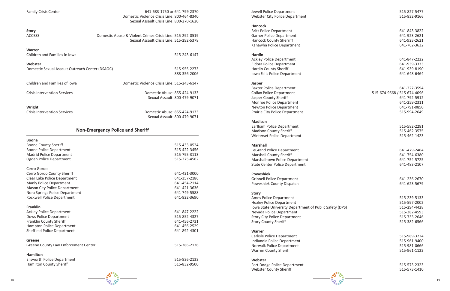

Family Crisis Center 641-683-1750 or 641-799-2370 Domestic Violence Crisis Line: 800-464-8340 Sexual Assault Crisis Line: 800-270-1620

#### **Story**

| <b>ACCESS</b>                                              | Domestic Abuse & Violent Crimes Crisis Line: 515-292-0519<br>Sexual Assault Crisis Line: 515-292-5378 |
|------------------------------------------------------------|-------------------------------------------------------------------------------------------------------|
| <b>Warren</b><br>Children and Families in Iowa             | 515-243-6147                                                                                          |
| Webster<br>Domestic Sexual Assault Outreach Center (DSAOC) | 515-955-2273<br>888-356-2006                                                                          |
| Children and Families of Iowa                              | Domestic Violence Crisis Line: 515-243-6147                                                           |
| <b>Crisis Intervention Services</b>                        | Domestic Abuse: 855-424-9133<br>Sexual Assault: 800-479-9071                                          |
| Wright<br><b>Crisis Intervention Services</b>              | Domestic Abuse: 855-424-9133<br>Sexual Assault: 800-479-9071                                          |

## **Non-Emergency Police and Sheriff Boone** Boone County Sheriff 515-433-0524 Boone Police Department 61 and 515-422-3456 Madrid Police Department 515-795-3113 Ogden Police Department 515-275-4562 Cerro Gordo Cerro Gordo County Sheriff 641-421-3000 Clear Lake Police Department 641-357-2186 Manly Police Department 641-454-2114 Mason City Police Department 641-421-3636 Nora Springs Police Department 641-749-5588 Rockwell Police Department 641-822-3690 **Franklin** Ackley Police Department 641-847-2222 Dows Police Department 615-852-4327 Franklin County Sheriff 641-456-2731 Hampton Police Department 641-456-2529 Sheffield Police Department 641-892-4301 **Greene** Greene County Law Enforcement Center 615-386-2136 **Hamilton** Ellsworth Police Department 515-836-2133

Hamilton County Sheriff 515-832-9500

Webster City Police Department 61 and 200 and 315-832-9166

#### **Hancock**

#### **Hardin**

#### **Jasper**

#### **Madison**

#### **Marshall**

LeGrand Police Department **641-479-2464** Marshall County Sheriff 641-754-6380 Marshalltown Police Department 641-754-5725 State Center Police Department 641-483-2107

#### **Poweshiek**

#### **Story**

Ames Police Department 515-239-5133 Huxley Police Department 515-597-2002 Iowa State University Department of Public Safety (DPS) 515-294-4428 Nevada Police Department 515-382-4593 Story City Police Department 515-733-2646 Story County Sheriff 61 and the story County Sheriff 615-382-6566

#### **Warren**

#### **Webster**

Webster County Sheriff 61 and the state of the Superior Superior S15-573-1410

Jewell Police Department 515-827-5477 Britt Police Department 641-843-3822 Garner Police Department 641-923-2621 Hancock County Sherriff 641-923-2621 Kanawha Police Department 641-762-3632 Ackley Police Department 641-847-2222 Eldora Police Department 641-939-3333 Hardin County Sheriff **641-939-8190** Iowa Falls Police Department **641-648-6464** COVERSITY **641-648-6464** Baxter Police Department **641-227-3594** Colfax Police Department 515-674-9668 / 515-674-4096 Jasper County Sheriff 641-792-5912 Monroe Police Department 641-259-2311 Newton Police Department 641-791-0850 Prairie City Police Department 515-994-2649 Earlham Police Department 515-582-2281 Madison County Sheriff 61 and 1990 and 1990 and 1990 and 1990 and 1990 and 1990 and 1990 and 1990 and 1990 and 1990 and 1990 and 1990 and 1990 and 1990 and 1990 and 1990 and 1990 and 1990 and 1990 and 1990 and 1990 and 199 Winterset Police Department 615-462-1423 Grinnell Police Department 641-236-2670 Poweshiek County Dispatch 641-623-5679 Carlisle Police Department 515-989-3224 Indianola Police Department 515-961-9400 Norwalk Police Department 615-981-0666 Warren County Sheriff 61 122 Fort Dodge Police Department 515-573-2323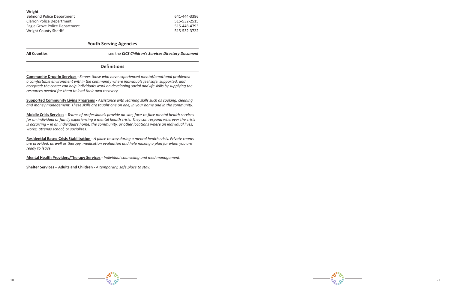

| Wright                           |              |
|----------------------------------|--------------|
| <b>Belmond Police Department</b> | 641-444-3386 |
| <b>Clarion Police Department</b> | 515-532-2515 |
| Eagle Grove Police Department    | 515-448-4793 |
| Wright County Sheriff            | 515-532-3722 |

#### **Youth Serving Agencies**

**All Counties** see the *CICS Children's Services Directory Document*

#### **Definitions**

**Community Drop-In Services -** *Serves those who have experienced mental/emotional problems; a comfortable environment within the community where individuals feel safe, supported, and accepted; the center can help individuals work on developing social and life skills by supplying the resources needed for them to lead their own recovery.* 

**Supported Community Living Programs -** *Assistance with learning skills such as cooking, cleaning and money management. These skills are taught one on one, in your home and in the community.* 

**Mobile Crisis Services -** *Teams of professionals provide on-site, face-to-face mental health services for an individual or family experiencing a mental health crisis. They can respond wherever the crisis is occurring – in an individual's home, the community, or other locations where an individual lives, works, attends school, or socializes.* 

**Residential Based Crisis Stabilization -** *A place to stay during a mental health crisis. Private rooms are provided, as well as therapy, medication evaluation and help making a plan for when you are ready to leave.*

**Mental Health Providers/Therapy Services -** *Individual counseling and med management.*

**Shelter Services – Adults and Children -** *A temporary, safe place to stay.*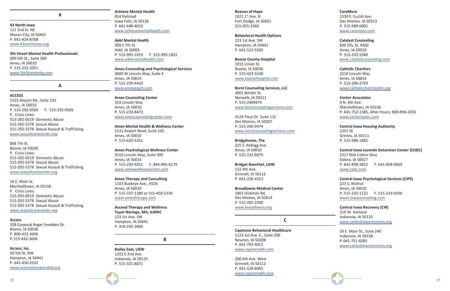#### **43 North Iowa**

111 2nd St. NE Mason City, IA 50401 P. 641-424-8708 www.43northiowa.org

#### **5th Street Mental Health Professionals** 600 5th St., Suite 200

Ames, IA 50010 P. 515-232-2051 www.5thStreetmhp.com

#### **A**

#### **ACCESS**

<sup>22</sup> <sup>23</sup> **#** 1525 Airport Rd., Suite 101 Ames, IA 50010 P. 515-292-0500 F. 515-292-0505 P. Crisis Lines: 515-292-0519 Domestic Abuse 515-292-5378 Sexual Abuse 515-292-5378 Sexual Assault & Trafficking www.assaultcarecenter.org

#### 806 7th St.

Boone, IA 50036 P. Crisis Lines: 515-292-0519 Domestic Abuse 515-292-5378 Sexual Abuse 515-292-5378 Sexual Assault & Trafficking www.assaultcarecenter.org

#### 16 E. Main St.

Marshalltown, IA 50158 P. Crisis Lines: 515-292-0519 Domestic Abuse 515-292-5378 Sexual Abuse 515-292-5378 Sexual Assault & Trafficking www.assaultcarecenter.org

## **Access** 328 Corporal Roger Snedden Dr.

Boone, IA 50036 P. 800-432-3606 P. 515-432-3606

#### **Access, Inc.**

20 5th St. NW Hampton, IA 50441 P. 641-456-2532 www.accessincorporated.org

#### **Achieve Mental Health** 814 Railroad

Iowa Falls, IA 50126 P. 641-648-4010 www.achievementalhealth.com

#### **Adel Mental Health**

309 S 7th St. Adel, IA 50003 P. 515-993-1919 F. 515-993-1922 www.adelmentalhealth.com

#### **Ames Counseling and Psychological Services**

3600 W Lincoln Way, Suite 4 Ames, IA 50014 P. 515-239-4410 www.amespsych.com

#### **Ames Counseling Center**

319 Lincoln Way Ames, IA 50010 P. 515-233-8473 www.amescounselingcenter.com

#### **Ames Mental Health & Wellness Center** 1531 Airport Road, Suite 102 Ames, IA 50010 P. 515-620-5352

#### **Ames Psychological Wellness Center**

3510 Lincoln Way, Suite 300 Ames, IA 50014 P. 515-292-9251 F. 844-895-6179 www.ameswellnesscenter.com

#### **Ames Therapy and Consulting**

1103 Buckeye Ave., #104 Ames, IA 50010 P. 515-337-1380 or 515-450-5230 www.amestherapy.com

#### **Ascend Therapy and Wellness Tuyet Noriega, MA, tLMHC** 123 1st Ave. SW Hampton, IA 50441 P. 319-242-2606

**B**

#### **Bailey Saal, LISW** 1202 E 2nd Ave. Indianola, IA 50125

P. 515-321-8071

**Beacon of Hope**  $1021$   $1<sup>st</sup>$  Ave. N Fort Dodge, IA 50501 515-955-3366

#### **Behavioral Health Options**

123 1st Ave. SW Hampton, IA 50441 P. 641-512-5565

#### **Boone County Hospital** 1015 Union St.

Boone, IA 50036 P. 515-423-3140 www.boonehospital.com

#### **Borst Counseling Services, LLC**

2601 Border St. Norwalk, IA 50211 P. 515-2409474 www.borstounselingservices.com

4124 Fleur Dr. Suite 11C Des Moines, IA 50307 P. 515-240-9474 www.borstcounselingservices.com

#### **Bridgehome, The**

225 S. Kellogg Ave. Ames, IA 50010 P. 515-232-8075

#### **Bridget Baechtel, LISW**

122 4th Ave. Grinnell, IA 50112 P. 641-236-4323

#### **Broadlawns Medical Center**

1801 Hickman Rd. Des Moines, IA 50314 P. 515-282-2200 www.broadlawns.org

#### **C**

**Capstone Behavioral Healthcare** 1123 1st Ave. E., Suite 200 Newton, IA 50208 P. 641-792-4012 www.capstonebh.com

200 4th Ave. West Grinnell, IA 50112 P. 641-528-6065 www.capstonebh.com

**CareMore** 1530 E. Euclid Ave. Des Moines, IA 50313 P. 515-989-6001 www.caremore.com

#### **Catalyst Counseling**

600 5th, St. #302 Ames, IA 50010 P. 515-232-5340 www.catalystcounseling.com

#### **Catholic Charities**

2210 Lincoln Way Ames, IA 50014 P. 515-296-2759 www.catholiccharitiesdm.org

#### **Center Associates**

9 N. 4th Ave. Marshalltown, IA 50158 P. 641-752-1585, After Hours: 800-896-2055 www.centerassoc.com

#### **Central Iowa Housing Authority**

1201 SE Grimes, IA 50111 P. 515-986-1882

#### **Central Iowa Juvenile Detention Center (CIJDC)**

2317 Rick Collins Way Eldora, IA 50627 P. 641-858-3852 F. 641-858-5839 www.cijdc.com

#### **Central Iowa Psychological Services (CIPS)**

223 S. Walnut Ames, IA 50010 P. 515-233-1122 F. 515-233-6500 www.iowacounseling.com

#### **Central Iowa Recovery (CIR)**

210 W. Ashland Indianola, IA 50125 www.centraliowarecovery.org

16 E. Main St., Suite 240 Indianola, IA 50158 P. 641-751-8282 www.centraliowarecovery.org

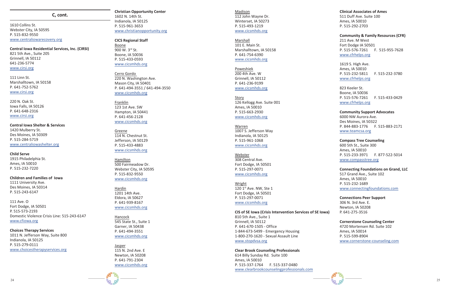

#### **C, cont.**

1610 Collins St. Webster City, IA 50595 P. 515-832-9550 www.centraliowarecovery.org

**Central Iowa Residential Services, Inc. (CIRSI)** 821 5th Ave., Suite 205 Grinnell, IA 50112 641-236-5774 www.cirsi.org

111 Linn St. Marshalltown, IA 50158 P. 641-752-5762 www.cirsi.org

220 N. Oak St. Iowa Falls, IA 50126 P. 641-648-2316 www.cirsi.org

**Central Iowa Shelter & Services** 1420 Mulberry St. Des Moines, IA 50309 P. 515-284-5719 www.centraliowashelter.org

**Child Serve** 1915 Philadelphia St. Ames, IA 50010 P. 515-232-7220

**Children and Families of Iowa** 1111 University Ave. Des Moines, IA 50314 P. 515-243-6147

111 Ave. O Fort Dodge, IA 50501 P. 515-573-2193 Domestic Violence Crisis Line: 515-243-6147 www.cfiowa.org

**Choices Therapy Services** 1011 N. Jefferson Way, Suite 800 Indianola, IA 50125 P. 515-279-0111 www.choicestherapyservices.org

#### **Christian Opportunity Center** 1602 N. 14th St. Indianola, IA 50125 P. 515-961-3653 www.christianopportunity.org

**CICS Regional Staff** Boone 900 W. 3rd St. Boone, IA 50036 P. 515-433-0593 www.cicsmhds.org

Cerro Gordo 220 N. Washington Ave. Mason City, IA 50401 P. 641-494-3551 / 641-494-3550 www.cicsmhds.org

Franklin 123 1st Ave. SW Hampton, IA 50441 P. 641-456-2128 www.cicsmhds.org

Greene 114 N. Chestnut St. Jefferson, IA 50129 P. 515-433-4883 www.cicsmhds.org

Hamilton 500 Fairmeadow Dr. Webster City, IA 50595 P. 515-832-9550 www.cicsmhds.org

Hardin 1201 14th Ave. Eldora, IA 50627 P. 641-939-8167 www.cicsmhds.org

Hancock 545 State St., Suite 1 Garner, IA 50438 P. 641-494-3551 www.cicsmhds.org

Jasper 115 N. 2nd Ave. E Newton, IA 50208 P. 641-791-2304 www.cicsmhds.org

Madison 112 John Wayne Dr. Winterset, IA 50273 P. 515-493-1219 www.cicsmhds.org

Marshall 101 E. Main St. Marshalltown, IA 50158 P. 641-754-6390 www.cicsmhds.org

Poweshiek 200 4th Ave. W Grinnell, IA 50112 P. 641-236-9199 www.cicsmhds.org

Story 126 Kellogg Ave. Suite 001 Ames, IA 50010 P. 515-663-2930 www.cicsmhds.org

Warren 1007 S. Jefferson Way Indianola, IA 50125 P. 515-961-1068 www.cicsmhds.org

Webster 308 Central Ave. Fort Dodge, IA 50501 P. 515-297-0071 www.cicsmhds.org

Wright 120 1<sup>st</sup> Ave. NW, Ste 1 Fort Dodge, IA 50501 P. 515-297-0071 www.cicsmhds.org

**CIS of SE Iowa (Crisis Intervention Services of SE Iowa)** 810 5th Ave., Suite 1 Grinnell, IA 50112

P. 641-670-1505 - Office 1-844-673-5499 - Emergency Housing 1-800-270-1620 - Sexual Assault Line www.stopdvsa.org

**Clear Brook Counseling Professionals** 614 Billy Sunday Rd. Suite 100 Ames, IA 50010 P. 515-337-1764 F. 515-337-0480 www.clearbrookcounselingprofessionals.com

#### **Clinical Associates of Ames**

511 Duff Ave. Suite 100 Ames, IA 50010 P. 515-292-2703

#### **Community & Family Resources (CFR)**

211 Ave. M West Fort Dodge IA 50501 P. 515-576-7261 F. 515-955-7628 www.cfrhelps.org

1619 S. High Ave. Ames, IA 50010 P. 515-232-5811 F. 515-232-3780 www.cfrhelps.org

823 Keeler St. Boone, IA 50036 P. 515-576-7261 F. 515-433-0429 www.cfrhelps.org

#### **Community Support Advocates**

6000 NW Aurora Ave. Des Moines, IA 50322 P. 844-883-1776 F. 515-883-2171 www.teamcsa.org

#### **Compass Tree Counseling**

600 5th St., Suite 300 Ames, IA 50010 P. 515-233-3971 F. 877-522-5014 www.compasstree.org

#### **Connecting Foundations on Grand, LLC**

517 Grand Ave., Suite 102 Ames, IA 50010 P. 515-232-1689 www.connectingfoundations.com

#### **Connections Peer Support**

306 N. 3rd Ave. E. Newton, IA 50208 P. 641-275-3516

#### **Cornerstone Counseling Center**

4720 Mortensen Rd. Suite 102 Ames, IA 50014 P. 515-599-8904 www.cornerstone-counseling.com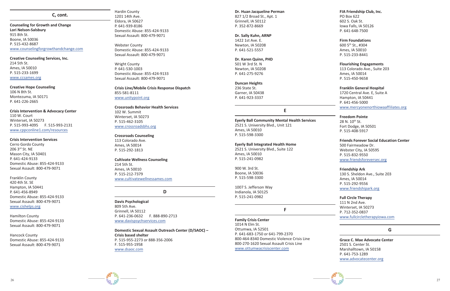

#### **C, cont.**

**Counseling for Growth and Change Lori Nelson-Salsbury** 915 8th St. Boone, IA 50036 P. 515-432-8687 www.counselingforgrowthandchange.com

**Creative Counseling Services, Inc.** 214 5th St. Ames, IA 50010 P. 515-233-1699 www.ccsames.org

#### **Creative Hope Counseling** 106 N 8th St. Montezuma, IA 50171 P. 641-226-2665

#### **Crisis Intervention & Advocacy Center** 110 W. Court Winterset, IA 50273 P. 515-993-4095 F. 515-993-2131 www.cppconline1.com/resources

#### **Crisis Intervention Services**

Cerro Gordo County 206 3rd St. NE Mason City, IA 50401 P. 641-424-9133 Domestic Abuse: 855-424-9133 Sexual Assault: 800-479-9071

Franklin County 420 4th St. SE Hampton, IA 50441 P. 641-456-8949 Domestic Abuse: 855-424-9133 Sexual Assault: 800-479-9071 www.cishelps.org

Hamilton County Domestic Abuse: 855-424-9133 Sexual Assault: 800-479-9071

Hancock County Domestic Abuse: 855-424-9133 Sexual Assault: 800-479-9071

Hardin County 1201 14th Ave. Eldora, IA 50627 P. 641-939-8186 Domestic Abuse: 855-424-9133 Sexual Assault: 800-479-9071

Webster County Domestic Abuse: 855-424-9133 Sexual Assault: 800-479-9071

Wright County P. 641-530-1003 Domestic Abuse: 855-424-9133 Sexual Assault: 800-479-9071

**Crisis Line/Mobile Crisis Response Dispatch** 855-581-8111 www.unitypoint.org

**Crossroads Behavior Health Services** 102 W. Summit Winterset, IA 50273 P. 515-462-3105 www.crossroadsbhs.org

#### **Crossroads Counseling**

113 Colorado Ave. Ames, IA 50014 P. 515-292-1813

#### **Cultivate Wellness Counseling**

214 5th St. Ames, IA 50010 P. 515-212-7379 www.cultivatewellnessames.com 28 N. 10th St. Fort Dodge, IA 50501 P. 515-408-5917

**D**

#### **Davis Psychological** 809 5th Ave. Grinnell, IA 50112 P. 641-236-0632 F. 888-890-2713 www.davispsychservices.com

**Domestic Sexual Assault Outreach Center (D/SAOC) – Crisis based shelter** P. 515-955-2273 or 888-356-2006 F. 515-955-1958 www.dsaoc.com

#### **Dr. Huan Jacqueline Perman**

827 1/2 Broad St., Apt. 1 Grinnell, IA 50112 P. 352-872-8669

#### **Dr. Sally Kuhn, ARNP**

1422 1st Ave. E. Newton, IA 50208 P. 641-521-5557

#### **Dr. Karen Quinn, PHD**

501 W 3rd St. N Newton, IA 50208 P. 641-275-9276

#### **Duncan Heights**

236 State St. Garner, IA 50438 P. 641-923-3337

#### **E**

**Eyerly Ball Community Mental Health Services** 2521 S. University Blvd., Unit 121 Ames, IA 50010 P. 515-598-3300

#### **Eyerly Ball Integrated Health Home**

2521 S. University Blvd., Suite 122 Ames, IA 50010 P. 515-241-0982

900 W. 3rd St. Boone, IA 50036 P. 515-598-3300

1007 S. Jefferson Way Indianola, IA 50125 P. 515-241-0982

#### **F**

#### **Family Crisis Center**

1014 N Elm St. Ottumwa, IA 52501 P. 641-683-1750 or 641-799-2370 800-464-8340 Domestic Violence Crisis Line 800-270-1620 Sexual Assault Crisis Line www.ottumwacrisiscenter.com

**FIA Friendship Club, Inc.**

PO Box 622 602 S. Oak St. Iowa Falls, IA 50126 P. 641-648-7500

#### **Firm Foundations**

600 5th St., #304 Ames, IA 50010 P. 515-233-8441

#### **Flourishing Engagements**

113 Colorado Ave., Suite 203 Ames, IA 50014 P. 515-450-9658

#### **Franklin General Hospital**

1720 Central Ave. E, Suite A Hampton, IA 50441 P. 641-456-5000 www.mercyonenorthiowaaffiliates.org

#### **Freedom Pointe**

#### **Friends Forever Social Education Center**

500 Fairmeadow Dr. Webster City, IA 50595 P. 515-832-9550 www.friendsforeversec.org

#### **Friendship Ark**

130 S. Sheldon Ave., Suite 203 Ames, IA 50014 P. 515-292-9556 www.friendshipark.org

**Full Circle Therapy** 111 N 2nd Ave. Winterset, IA 50273 P. 712-352-0837 www.fullcircletherapyiowa.com

#### **G**

**Grace C. Mae Advocate Center** 2501 S. Center St. Marshalltown, IA 50158 P. 641-753-1289 www.advocatecenter.org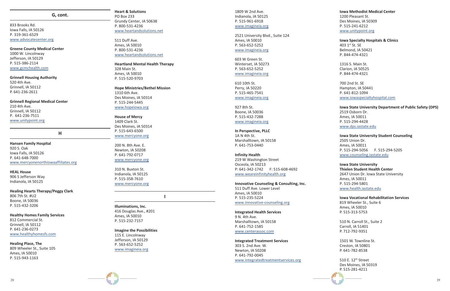

#### **G, cont.**

833 Brooks Rd. Iowa Falls, IA 50126 P. 319-361-6529 www.advocatecenter.org

#### **Greene County Medical Center**

1000 W. Lincolnway Jefferson, IA 50129 P. 515-386-2114 www.gcmchealth.com

**Grinnell Housing Authority** 520 4th Ave. Grinnell, IA 50112 P. 641-236-2611

**Grinnell Regional Medical Center** 210 4th Ave.

Grinnell, IA 50112 P. 641-236-7511 www.unitypoint.org

**H**

**Hansen Family Hospital** 920 S. Oak Iowa Falls, IA 50126 P. 641-648-7000 www.mercyonenorthiowaaffiliates.org

**HEAL House** 906 S Jefferson Way Indianola, IA 50125

**Healing Hearts Therapy/Peggy Clark** 806 7th St. #U2 Boone, IA 50036 P. 515-432-3206

#### **Healthy Homes Family Services**

812 Commercial St. Grinnell, IA 50112 P. 641-236-0273 www.healthyhomesfs.com

#### **Healing Place, The**

809 Wheeler St., Suite 105 Ames, IA 50010 P. 515-943-1163

#### **Heart & Solutions** PO Box 233 Grundy Center, IA 50638 P. 800-531-4236 www.heartandsolutions.net

511 Duff Ave. Ames, IA 50010 P. 800-531-4236 www.heartandsolutions.net

#### **Heartland Mental Health Therapy** 328 Main St. Ames, IA 50010 P. 515-520-9703

**Hope Ministries/Bethel Mission** 1310 6th Ave. Des Moines, IA 50314 P. 515-244-5445 www.hopeiowa.org

**House of Mercy** 1409 Clark St. Des Moines, IA 50314 P. 515-643-6500 www.mercyone.org

200 N. 8th Ave. E. Newton, IA 50208 P. 641-792-0717 www.mercyone.org

310 N. Buxton St. Indianola, IA 50125 P. 515-358-7610 www.mercyone.org

**I**

**Illuminations, Inc.**  416 Douglas Ave., #201 Ames, IA 50010 P. 515-232-7157

#### **Imagine the Possibilities**

115 E. Lincolnway Jefferson, IA 50129 P. 563-652-5252 www.imagineia.org 1809 W 2nd Ave. Indianola, IA 50125 P. 515-961-6918 www.imagineia.org

2521 University Blvd., Suite 124 Ames, IA 50010 P. 563-652-5252 www.imagineia.org

> 510 E. 12<sup>th</sup> Street Des Moines, IA 50319 P. 515-281-4211

603 W Green St. Winterset, IA 50273 P. 563-652-5252 www.imagineia.org

610 10th St. Perry, IA 50220 P. 515-465-7541 www.imagineia.org

927 8th St. Boone, IA 50036 P. 515-432-7288 www.imagineia.org

**In Perspective, PLLC** 1A N 4th St. Marshalltown, IA 50158 P. 641-753-0440

#### **Infinity Health**

219 W Washington Street Osceola, IA 50213 P: 641-342-1742 F: 515-608-4692 www.weareinfinityhealth.org

**Innovative Counseling & Consulting, Inc.** 511 Duff Ave. Lower Level Ames, IA 50010 P. 515-235-5224

www.innovative-counseling.org

## **Integrated Health Services**

9 N. 4th Ave. Marshalltown, IA 50158 P. 641-752-1585 www.centerassoc.com

#### **Integrated Treatment Services**

303 S. 2nd Ave. W. Newton, IA 50208 P. 641-792-0045 www.integratedtreatmentservices.org

#### **Iowa Methodist Medical Center**

1200 Pleasant St. Des Moines, IA 50309 P. 515-241-6212 www.unitypoint.org

#### **Iowa Specialty Hospitals & Clinics**

403 1st St. SE Belmond, IA 50421 P. 844-474-4321

1316 S. Main St. Clarion, IA 50525 P. 844-474-4321

700 2nd St. SE Hampton, IA 50441 P. 641-812-1094 www.iowaspecialtyhospital.com

#### **Iowa State University Department of Public Safety (DPS)** 2519 Osborn Dr. Ames, IA 50011 P. 515-294-4428 www.dps.iastate.edu

#### **Iowa State University Student Counseling** 2505 Union Dr. Ames, IA 50011 P. 515-294-5056 F. 515-294-5205 www.counseling.iastate.edu

**Iowa State University Thielen Student Health Center** 2647 Union Dr. Iowa State University Ames, IA 50011 P. 515-294-5801 www.health.iastate.edu

**Iowa Vocational Rehabilitation Services** 819 Wheeler St., Suite 6 Ames, IA 50010 P. 515-313-5753

510 N. Carroll St., Suite 2 Carroll, IA 51401 P. 712-792-9351

1501 W. Townline St. Creston, IA 50801 P. 641-782-8538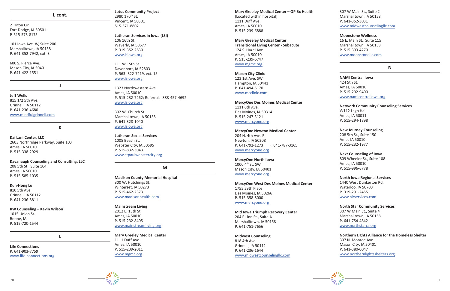

#### **I, cont.**

2 Triton Cir Fort Dodge, IA 50501 P. 515-573-8175

101 Iowa Ave. W, Suite 200 Marshalltown, IA 50158 P. 641-352-7942, ext. 3

600 S. Pierce Ave. Mason City, IA 50401 P. 641-422-1551

#### **J**

**Jeff Wells** 815 1/2 5th Ave. Grinnell, IA 50112 P. 641-236-4680

www.mindfulgrinnell.com

#### **K**

**Kai Lani Center, LLC** 2603 Northridge Parkway, Suite 103 Ames, IA 50010 P. 515-338-2929

**Kavanaugh Counseling and Consulting, LLC** 208 5th St., Suite 104 Ames, IA 50010 P. 515-585-1035

#### **Kun-Hong Lu**

810 5th Ave. Grinnell, IA 50112 P. 641-236-8811

**KW Counseling – Kevin Wilson**

1015 Union St. Boone, IA P. 515-720-1544

**L**

**Life Connections** P. 641-903-7759 www.life-connections.org

**Lotus Community Project** 2980 170<sup>th</sup> St. Vincent, IA 50501 515-571-8802

**Lutheran Services in Iowa (LSI)** 106 16th St. Waverly, IA 50677 P. 319-352-2630 www.lsiowa.org

111 W 15th St. Davenport, IA 52803 P. 563 -322-7419, ext. 15 www.lsiowa.org

1323 Northwestern Ave. Ames, IA 50010 P. 515-232-7262; Referrals: 888-457-4692 www.lsiowa.org

302 W. Church St. Marshalltown, IA 50158 P. 641-328-1040 www.lsiowa.org

**Lutheran Social Services** 1005 Beach St. Webster City, IA 50595 P. 515-832-3043 www.stpaulwebstercity.org

#### **M**

**Madison County Memorial Hospital** 300 W. Hutchings St. Winterset, IA 50273 P. 515-462-2373 www.madisonhealth.com

**Mainstream Living** 2012 E. 13th St. Ames, IA 50010 P. 515-232-8405 www.mainstreamliving.org

**Mary Greeley Medical Center**

1111 Duff Ave. Ames, IA 50010 P. 515-239-2011 www.mgmc.org

**Mary Greeley Medical Center – OP Bx Health** (Located within hospital)

1111 Duff Ave. Ames, IA 50010 P. 515-239-6888

**Mary Greeley Medical Center Transitional Living Center - Subacute** 124 S. Hazel Ave. Ames, IA 50010 P. 515-239-6747 www.mgmc.org

**Mason City Clinic** 123 1st Ave. SW Hampton, IA 50441 P. 641-494-5170 www.mcclinic.com

#### **MercyOne Des Moines Medical Center**

1111 6th Ave. Des Moines, IA 50314 P. 515-247-3121 www.mercyone.org

#### **MercyOne Newton Medical Center**

204 N. 4th Ave. E Newton, IA 50208 P. 641-792-1273 F. 641-787-3165 www.mercyone.org

#### **MercyOne North Iowa**

1000 4th St. SW Mason City, IA 50401 www.mercyone.org

**MercyOne West Des Moines Medical Center** 1755 59th Place

Des Moines, IA 50266 P. 515-358-8000 www.mercyone.org

**Mid Iowa Triumph Recovery Center** 204 E Linn St., Suite A Marshalltown, IA 50158 P. 641-751-7656

**Midwest Counseling** 818 4th Ave. Grinnell, IA 50112 P. 641-236-1644 www.midwestcounselingllc.com 307 W Main St., Suite 2 Marshalltown, IA 50158 P. 641-352-3031 www.midwestcounselingllc.com

#### **Moonstone Wellness**

16 E. Main St., Suite 115 Marshalltown, IA 50158 P. 515-393-4270 www.moonstonellc.com

#### **N**

**NAMI Central Iowa** 424 5th St. Ames, IA 50010 P. 515-292-9400

#### www.namicentraliowa.org

#### **Network Community Counseling Services**

W112 Lago Hall Ames, IA 50011 P. 515-294-1898

#### **New Journey Counseling**

208 5th St., Suite 150 Ames IA 50010 P. 515-232-1977

#### **Next Counseling of Iowa**

809 Wheeler St., Suite 108 Ames, IA 50010 P. 515-996-6778

#### **North Iowa Regional Services**

1440 West Dunkerton Rd. Waterloo, IA 50703 P. 319-291-2455 www.nirservices.com

#### **North Star Community Services**

307 W Main St., Suite 4 Marshalltown, IA 50158 P. 641-754-4842 www.northstarcs.org

#### **Northern Lights Alliance for the Homeless Shelter**

307 N. Monroe Ave. Mason City, IA 50401 P. 641-380-0047 www.northernlightsshelters.org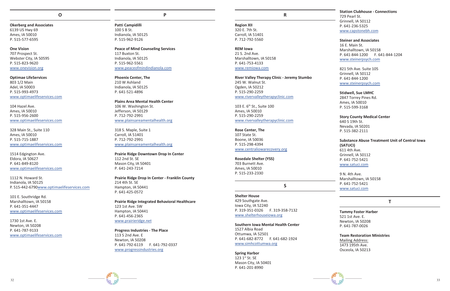**Okerberg and Associates** 6139 US Hwy 69 Ames, IA 50010 P. 515-577-6595

**One Vision** 707 Prospect St. Webster City, IA 50595 P. 515-823-9620 www.onevision.org

**Optimae LifeServices** 803 1/2 Main Adel, IA 50003 P. 515-993-4973 www.optimaelifeservices.com

104 Hazel Ave. Ames, IA 50010 P. 515-956-2600 www.optimaelifeservices.com

328 Main St., Suite 110 Ames, IA 50010 P. 515-715-1887 www.optimaelifeservices.com

1514 Edgington Ave. Eldora, IA 50627 P. 641-849-8120 www.optimaelifeservices.com

1112 N. Howard St. Indianola, IA 50125 P. 515-442-6790www.optimaelifeservices.com

101 E. Southridge Rd. Marshalltown, IA 50158 P. 641-351-4447 www.optimaelifeservices.com

1730 1st Ave. E. Newton, IA 50208 P. 641-787-9133 www.optimaelifeservices.com **P**

**Patti Campidilli** 100 S B St. Indianola, IA 50125 P. 515-962-9126

**Peace of Mind Counseling Services** 117 Buxton St. Indianola, IA 50125 P. 515-962-5561 www.peaceofmindindianola.com

**Phoenix Center, The** 210 W Ashland Indianola, IA 50125 P. 641-521-4896

**Plains Area Mental Health Center** 106 W. Washington St. Jefferson, IA 50129 P. 712-792-2991 www.plainsareamentalhealth.org

318 S. Maple, Suite 1 Carroll, IA 51401 P. 712-792-2991 www.plainsareamentalhealth.org

> $123$  1st St. SE Mason City, IA 50401 P. 641-201-8990

**Prairie Ridge Downtown Drop In Center** 112 2nd St. SE Mason City, IA 50401 P. 641-243-7214

**Prairie Ridge Drop In Center - Franklin County** 214 4th St. SE Hampton, IA 50441 P. 641-425-0572

**Prairie Ridge Integrated Behavioral Healthcare** 123 1st Ave. SW Hampton, IA 50441 P. 641-456-2365 www.prairieridge.net

**Distinguish (a)**  $\frac{1}{2}$   $\frac{1}{2}$   $\frac{1}{2}$   $\frac{1}{2}$   $\frac{1}{2}$   $\frac{1}{2}$   $\frac{1}{2}$   $\frac{1}{2}$   $\frac{1}{2}$   $\frac{1}{2}$   $\frac{1}{2}$   $\frac{1}{2}$   $\frac{1}{2}$   $\frac{1}{2}$   $\frac{1}{2}$   $\frac{1}{2}$   $\frac{1}{2}$   $\frac{1}{2}$   $\frac{1}{2}$   $\frac{1}{2}$   $\frac$ **Substance Abuse Treatment Unit of Central Iowa (SATUCI)** 611 4th Ave. Grinnell, IA 50112 P. 641-752-5421 www.satuci.com

**Progress Industries - The Place** 113 S 2nd Ave. E Newton, IA 50208 P. 641-792-6119 F. 641-792-0337 www.progressindustries.org

**R**

**Region XII** 320 E. 7th St. Carroll, IA 51401 P. 712-792-5560

**REM Iowa** 21 S. 2nd Ave. Marshalltown, IA 50158 P. 641-753-4133 www.remiowa.com

**River Valley Therapy Clinic - Jeremy Stumbo** 245 W. Walnut St. Ogden, IA 50212 P. 515-290-2259 www.rivervalleytherapyclinic.com

103 E. 6th St., Suite 100 Ames, IA 50010 P. 515-290-2259 www.rivervalleytherapyclinic.com

**Rose Center, The** 107 State St. Boone, IA 50036 P. 515-298-4394 www.centraliowarecovery.org

**Rosedale Shelter (YSS)** 703 Burnett Ave. Ames, IA 50010 P. 515-233-2330

#### **S**

**Shelter House**

429 Southgate Ave. Iowa City, IA 52240 P. 319-351-0326 F. 319-358-7132 www.shelterhouseiowa.org

**Southern Iowa Mental Health Center**

1527 Albia Road Ottumwa, IA 52501 P. 641-682-8772 F. 641-682-1924 www.simhcottumwa.org

**Spring Harbor**

**Station Clubhouse - Connections** 729 Pearl St. Grinnell, IA 50112 P. 641-236-5325 www.capstonebh.com

**Steiner and Associates** 16 E. Main St. Marshalltown, IA 50158 P. 641-844-1200 F. 641-844-1204 www.steinerpsych.com

821 5th Ave. Suite 105 Grinnell, IA 50112 P. 641-844-1200 www.steinerpsych.com

#### **Stidwell, Sue LMHC**

2847 Torrey Pines Rd. Ames, IA 50010 P. 515-599-3168

#### **Story County Medical Center**

640 S 19th St. Nevada, IA 50201 P. 515-382-2111

9 N. 4th Ave. Marshalltown, IA 50158 P. 641-752-5421 www.satuci.com

#### **T**

#### **Tammy Foster Harber**

521 1st Ave. E. Newton, IA 50208 P. 641-787-0026

#### **Team Restoration Ministries**

Mailing Address: 1473 195th Ave. Osceola, IA 50213